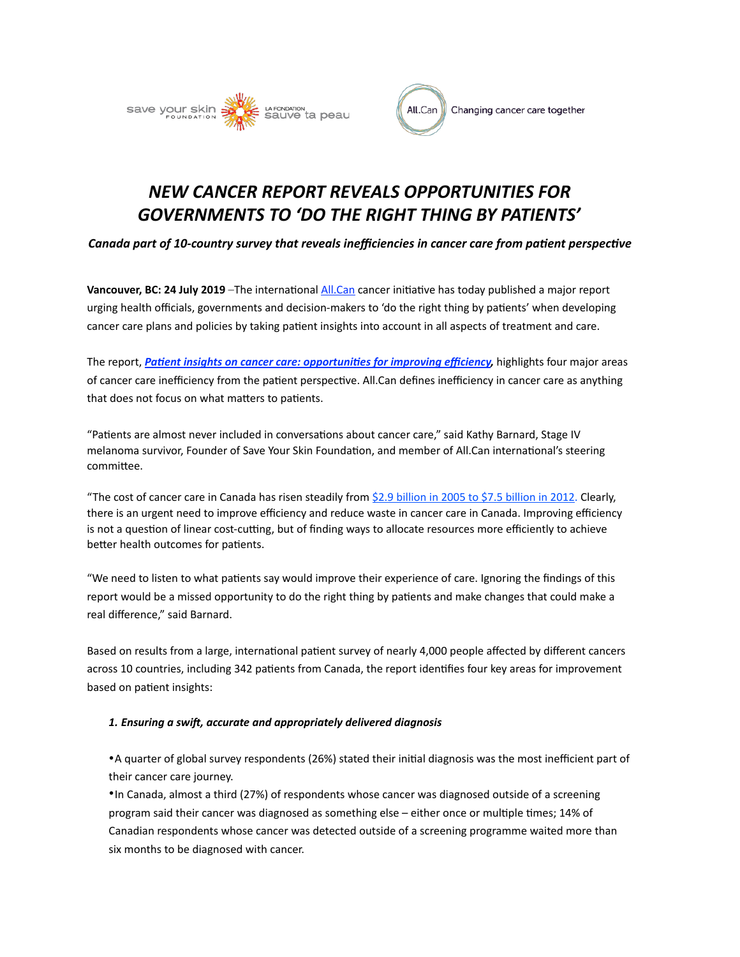



# *NEW CANCER REPORT REVEALS OPPORTUNITIES FOR*  GOVERNMENTS TO 'DO THE RIGHT THING BY PATIENTS'

*Canada part of 10-country survey that reveals inefficiencies in cancer care from patient perspective* 

**Vancouver, BC: 24 July 2019** –The international All.Can cancer initiative has today published a major report urging health officials, governments and decision-makers to 'do the right thing by patients' when developing cancer care plans and policies by taking patient insights into account in all aspects of treatment and care.

The report, *Patient insights on cancer care: opportunities for improving efficiency*, highlights four major areas of cancer care inefficiency from the patient perspective. All.Can defines inefficiency in cancer care as anything that does not focus on what matters to patients.

"Patients are almost never included in conversations about cancer care," said Kathy Barnard, Stage IV melanoma survivor, Founder of Save Your Skin Foundation, and member of All.Can international's steering committee.

"The cost of cancer care in Canada has risen steadily from \$2.9 billion in 2005 to \$7.5 billion in 2012. Clearly, there is an urgent need to improve efficiency and reduce waste in cancer care in Canada. Improving efficiency is not a question of linear cost-cutting, but of finding ways to allocate resources more efficiently to achieve better health outcomes for patients.

"We need to listen to what patients say would improve their experience of care. Ignoring the findings of this report would be a missed opportunity to do the right thing by patients and make changes that could make a real difference," said Barnard.

Based on results from a large, international patient survey of nearly 4,000 people affected by different cancers across 10 countries, including 342 patients from Canada, the report identifies four key areas for improvement based on patient insights:

# 1. Ensuring a swift, accurate and appropriately delivered diagnosis

• A quarter of global survey respondents (26%) stated their initial diagnosis was the most inefficient part of their cancer care journey.

• In Canada, almost a third (27%) of respondents whose cancer was diagnosed outside of a screening program said their cancer was diagnosed as something else – either once or multiple times; 14% of Canadian respondents whose cancer was detected outside of a screening programme waited more than six months to be diagnosed with cancer.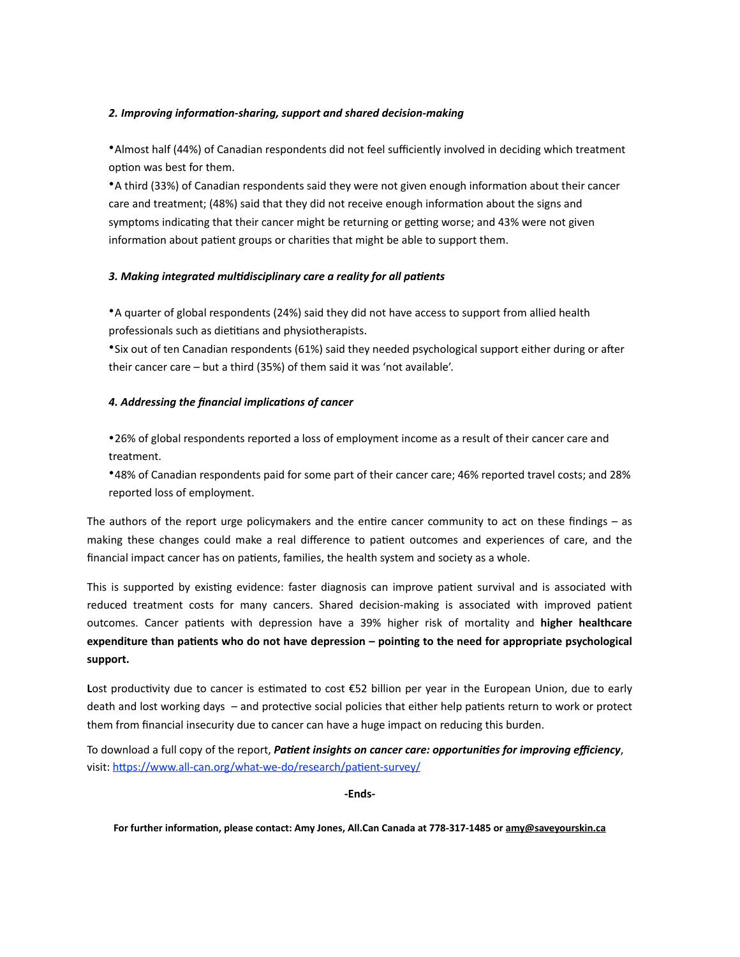## 2. Improving information-sharing, support and shared decision-making

• Almost half (44%) of Canadian respondents did not feel sufficiently involved in deciding which treatment option was best for them.

• A third (33%) of Canadian respondents said they were not given enough information about their cancer care and treatment; (48%) said that they did not receive enough information about the signs and symptoms indicating that their cancer might be returning or getting worse; and 43% were not given information about patient groups or charities that might be able to support them.

# 3. Making integrated multidisciplinary care a reality for all patients

• A quarter of global respondents (24%) said they did not have access to support from allied health professionals such as dietitians and physiotherapists.

• Six out of ten Canadian respondents (61%) said they needed psychological support either during or after their cancer care  $-$  but a third (35%) of them said it was 'not available'.

## 4. Addressing the financial implications of cancer

•26% of global respondents reported a loss of employment income as a result of their cancer care and treatment. 

\*48% of Canadian respondents paid for some part of their cancer care; 46% reported travel costs; and 28% reported loss of employment.

The authors of the report urge policymakers and the entire cancer community to act on these findings  $-$  as making these changes could make a real difference to patient outcomes and experiences of care, and the financial impact cancer has on patients, families, the health system and society as a whole.

This is supported by existing evidence: faster diagnosis can improve patient survival and is associated with reduced treatment costs for many cancers. Shared decision-making is associated with improved patient outcomes. Cancer patients with depression have a 39% higher risk of mortality and higher healthcare expenditure than patients who do not have depression – pointing to the need for appropriate psychological **support.** 

**Lost productivity due to cancer is estimated to cost €52 billion per year in the European Union, due to early** death and lost working days  $-$  and protective social policies that either help patients return to work or protect them from financial insecurity due to cancer can have a huge impact on reducing this burden.

To download a full copy of the report, *Patient insights on cancer care: opportunities for improving efficiency*, visit: https://www.all-can.org/what-we-do/research/patient-survey/

-Ends-

For further information, please contact: Amy Jones, All.Can Canada at 778-317-1485 or amy@saveyourskin.ca